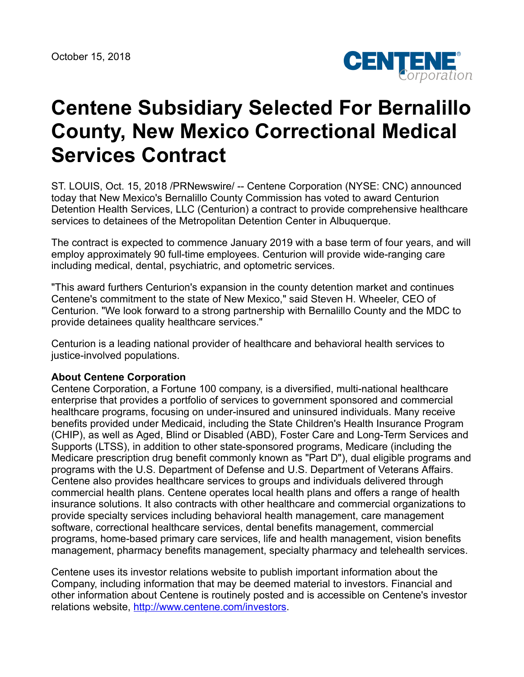

## **Centene Subsidiary Selected For Bernalillo County, New Mexico Correctional Medical Services Contract**

ST. LOUIS, Oct. 15, 2018 /PRNewswire/ -- Centene Corporation (NYSE: CNC) announced today that New Mexico's Bernalillo County Commission has voted to award Centurion Detention Health Services, LLC (Centurion) a contract to provide comprehensive healthcare services to detainees of the Metropolitan Detention Center in Albuquerque.

The contract is expected to commence January 2019 with a base term of four years, and will employ approximately 90 full-time employees. Centurion will provide wide-ranging care including medical, dental, psychiatric, and optometric services.

"This award furthers Centurion's expansion in the county detention market and continues Centene's commitment to the state of New Mexico," said Steven H. Wheeler, CEO of Centurion. "We look forward to a strong partnership with Bernalillo County and the MDC to provide detainees quality healthcare services."

Centurion is a leading national provider of healthcare and behavioral health services to justice-involved populations.

## **About Centene Corporation**

Centene Corporation, a Fortune 100 company, is a diversified, multi-national healthcare enterprise that provides a portfolio of services to government sponsored and commercial healthcare programs, focusing on under-insured and uninsured individuals. Many receive benefits provided under Medicaid, including the State Children's Health Insurance Program (CHIP), as well as Aged, Blind or Disabled (ABD), Foster Care and Long-Term Services and Supports (LTSS), in addition to other state-sponsored programs, Medicare (including the Medicare prescription drug benefit commonly known as "Part D"), dual eligible programs and programs with the U.S. Department of Defense and U.S. Department of Veterans Affairs. Centene also provides healthcare services to groups and individuals delivered through commercial health plans. Centene operates local health plans and offers a range of health insurance solutions. It also contracts with other healthcare and commercial organizations to provide specialty services including behavioral health management, care management software, correctional healthcare services, dental benefits management, commercial programs, home-based primary care services, life and health management, vision benefits management, pharmacy benefits management, specialty pharmacy and telehealth services.

Centene uses its investor relations website to publish important information about the Company, including information that may be deemed material to investors. Financial and other information about Centene is routinely posted and is accessible on Centene's investor relations website, <http://www.centene.com/investors>.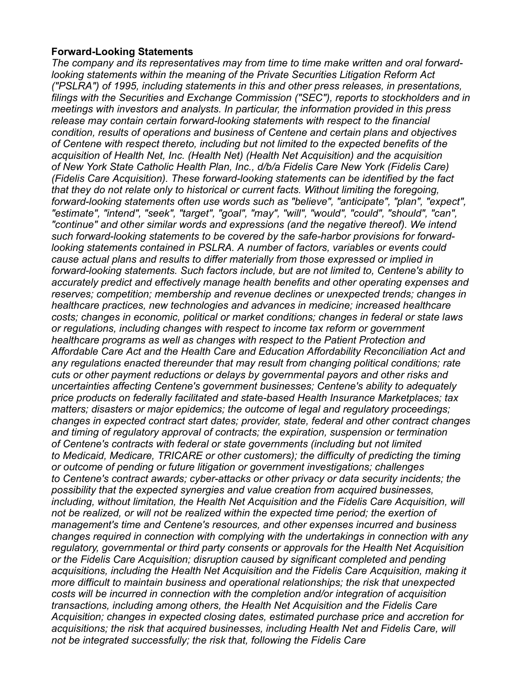## **Forward-Looking Statements**

*The company and its representatives may from time to time make written and oral forwardlooking statements within the meaning of the Private Securities Litigation Reform Act ("PSLRA") of 1995, including statements in this and other press releases, in presentations, filings with the Securities and Exchange Commission ("SEC"), reports to stockholders and in meetings with investors and analysts. In particular, the information provided in this press release may contain certain forward-looking statements with respect to the financial condition, results of operations and business of Centene and certain plans and objectives of Centene with respect thereto, including but not limited to the expected benefits of the acquisition of Health Net, Inc. (Health Net) (Health Net Acquisition) and the acquisition of New York State Catholic Health Plan, Inc., d/b/a Fidelis Care New York (Fidelis Care) (Fidelis Care Acquisition). These forward-looking statements can be identified by the fact that they do not relate only to historical or current facts. Without limiting the foregoing, forward-looking statements often use words such as "believe", "anticipate", "plan", "expect", "estimate", "intend", "seek", "target", "goal", "may", "will", "would", "could", "should", "can", "continue" and other similar words and expressions (and the negative thereof). We intend such forward-looking statements to be covered by the safe-harbor provisions for forwardlooking statements contained in PSLRA. A number of factors, variables or events could cause actual plans and results to differ materially from those expressed or implied in forward-looking statements. Such factors include, but are not limited to, Centene's ability to accurately predict and effectively manage health benefits and other operating expenses and reserves; competition; membership and revenue declines or unexpected trends; changes in healthcare practices, new technologies and advances in medicine; increased healthcare costs; changes in economic, political or market conditions; changes in federal or state laws or regulations, including changes with respect to income tax reform or government healthcare programs as well as changes with respect to the Patient Protection and Affordable Care Act and the Health Care and Education Affordability Reconciliation Act and any regulations enacted thereunder that may result from changing political conditions; rate cuts or other payment reductions or delays by governmental payors and other risks and uncertainties affecting Centene's government businesses; Centene's ability to adequately price products on federally facilitated and state-based Health Insurance Marketplaces; tax matters; disasters or major epidemics; the outcome of legal and regulatory proceedings; changes in expected contract start dates; provider, state, federal and other contract changes and timing of regulatory approval of contracts; the expiration, suspension or termination of Centene's contracts with federal or state governments (including but not limited to Medicaid, Medicare, TRICARE or other customers); the difficulty of predicting the timing or outcome of pending or future litigation or government investigations; challenges to Centene's contract awards; cyber-attacks or other privacy or data security incidents; the possibility that the expected synergies and value creation from acquired businesses, including, without limitation, the Health Net Acquisition and the Fidelis Care Acquisition, will not be realized, or will not be realized within the expected time period; the exertion of management's time and Centene's resources, and other expenses incurred and business changes required in connection with complying with the undertakings in connection with any regulatory, governmental or third party consents or approvals for the Health Net Acquisition or the Fidelis Care Acquisition; disruption caused by significant completed and pending acquisitions, including the Health Net Acquisition and the Fidelis Care Acquisition, making it more difficult to maintain business and operational relationships; the risk that unexpected costs will be incurred in connection with the completion and/or integration of acquisition transactions, including among others, the Health Net Acquisition and the Fidelis Care Acquisition; changes in expected closing dates, estimated purchase price and accretion for acquisitions; the risk that acquired businesses, including Health Net and Fidelis Care, will not be integrated successfully; the risk that, following the Fidelis Care*